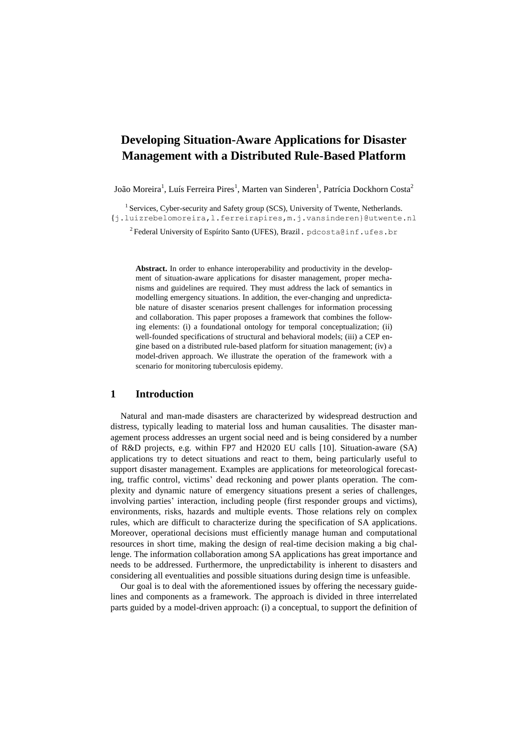# **Developing Situation-Aware Applications for Disaster Management with a Distributed Rule-Based Platform**

João Moreira<sup>1</sup>, Luís Ferreira Pires<sup>1</sup>, Marten van Sinderen<sup>1</sup>, Patrícia Dockhorn Costa<sup>2</sup>

<sup>1</sup> Services, Cyber-security and Safety group (SCS), University of Twente, Netherlands. {j.luizrebelomoreira,l.ferreirapires,m.j.vansinderen}@utwente.nl

 $^2$ Federal University of Espírito Santo (UFES), Brazil. pdcosta@inf.ufes.br

**Abstract.** In order to enhance interoperability and productivity in the development of situation-aware applications for disaster management, proper mechanisms and guidelines are required. They must address the lack of semantics in modelling emergency situations. In addition, the ever-changing and unpredictable nature of disaster scenarios present challenges for information processing and collaboration. This paper proposes a framework that combines the following elements: (i) a foundational ontology for temporal conceptualization; (ii) well-founded specifications of structural and behavioral models; (iii) a CEP engine based on a distributed rule-based platform for situation management; (iv) a model-driven approach. We illustrate the operation of the framework with a scenario for monitoring tuberculosis epidemy.

#### **1 Introduction**

Natural and man-made disasters are characterized by widespread destruction and distress, typically leading to material loss and human causalities. The disaster management process addresses an urgent social need and is being considered by a number of R&D projects, e.g. within FP7 and H2020 EU calls [10]. Situation-aware (SA) applications try to detect situations and react to them, being particularly useful to support disaster management. Examples are applications for meteorological forecasting, traffic control, victims' dead reckoning and power plants operation. The complexity and dynamic nature of emergency situations present a series of challenges, involving parties' interaction, including people (first responder groups and victims), environments, risks, hazards and multiple events. Those relations rely on complex rules, which are difficult to characterize during the specification of SA applications. Moreover, operational decisions must efficiently manage human and computational resources in short time, making the design of real-time decision making a big challenge. The information collaboration among SA applications has great importance and needs to be addressed. Furthermore, the unpredictability is inherent to disasters and considering all eventualities and possible situations during design time is unfeasible.

Our goal is to deal with the aforementioned issues by offering the necessary guidelines and components as a framework. The approach is divided in three interrelated parts guided by a model-driven approach: (i) a conceptual, to support the definition of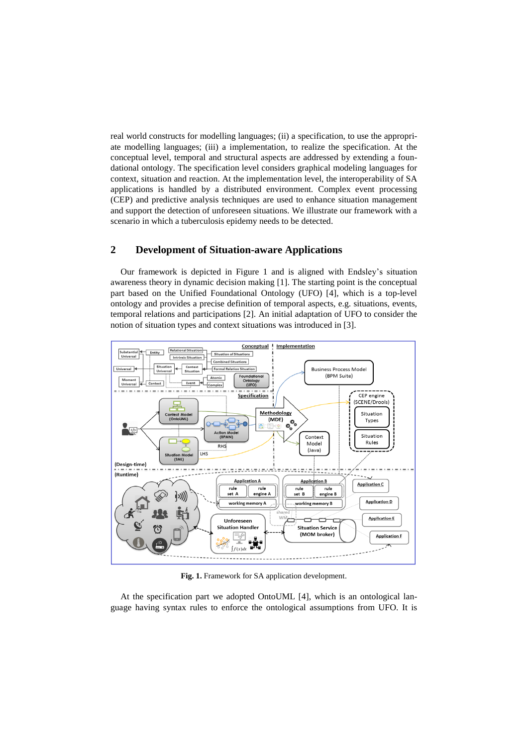real world constructs for modelling languages; (ii) a specification, to use the appropriate modelling languages; (iii) a implementation, to realize the specification. At the conceptual level, temporal and structural aspects are addressed by extending a foundational ontology. The specification level considers graphical modeling languages for context, situation and reaction. At the implementation level, the interoperability of SA applications is handled by a distributed environment. Complex event processing (CEP) and predictive analysis techniques are used to enhance situation management and support the detection of unforeseen situations. We illustrate our framework with a scenario in which a tuberculosis epidemy needs to be detected.

# **2 Development of Situation-aware Applications**

Our framework is depicted in Figure 1 and is aligned with Endsley's situation awareness theory in dynamic decision making [1]. The starting point is the conceptual part based on the Unified Foundational Ontology (UFO) [4], which is a top-level ontology and provides a precise definition of temporal aspects, e.g. situations, events, temporal relations and participations [2]. An initial adaptation of UFO to consider the notion of situation types and context situations was introduced in [3].



**Fig. 1.** Framework for SA application development.

At the specification part we adopted OntoUML [4], which is an ontological language having syntax rules to enforce the ontological assumptions from UFO. It is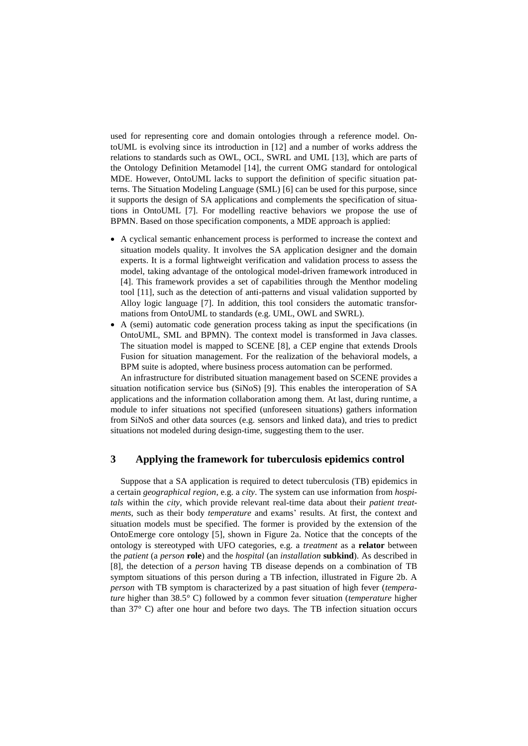used for representing core and domain ontologies through a reference model. OntoUML is evolving since its introduction in [12] and a number of works address the relations to standards such as OWL, OCL, SWRL and UML [13], which are parts of the Ontology Definition Metamodel [14], the current OMG standard for ontological MDE. However, OntoUML lacks to support the definition of specific situation patterns. The Situation Modeling Language (SML) [6] can be used for this purpose, since it supports the design of SA applications and complements the specification of situations in OntoUML [7]. For modelling reactive behaviors we propose the use of BPMN. Based on those specification components, a MDE approach is applied:

- A cyclical semantic enhancement process is performed to increase the context and situation models quality. It involves the SA application designer and the domain experts. It is a formal lightweight verification and validation process to assess the model, taking advantage of the ontological model-driven framework introduced in [4]. This framework provides a set of capabilities through the Menthor modeling tool [11], such as the detection of anti-patterns and visual validation supported by Alloy logic language [7]. In addition, this tool considers the automatic transformations from OntoUML to standards (e.g. UML, OWL and SWRL).
- A (semi) automatic code generation process taking as input the specifications (in OntoUML, SML and BPMN). The context model is transformed in Java classes. The situation model is mapped to SCENE [8], a CEP engine that extends Drools Fusion for situation management. For the realization of the behavioral models, a BPM suite is adopted, where business process automation can be performed.

An infrastructure for distributed situation management based on SCENE provides a situation notification service bus (SiNoS) [9]. This enables the interoperation of SA applications and the information collaboration among them. At last, during runtime, a module to infer situations not specified (unforeseen situations) gathers information from SiNoS and other data sources (e.g. sensors and linked data), and tries to predict situations not modeled during design-time, suggesting them to the user.

## **3 Applying the framework for tuberculosis epidemics control**

Suppose that a SA application is required to detect tuberculosis (TB) epidemics in a certain *geographical region*, e.g. a *city*. The system can use information from *hospitals* within the *city*, which provide relevant real-time data about their *patient treatments*, such as their body *temperature* and exams' results. At first, the context and situation models must be specified. The former is provided by the extension of the OntoEmerge core ontology [5], shown in Figure 2a. Notice that the concepts of the ontology is stereotyped with UFO categories, e.g. a *treatment* as a **relator** between the *patient* (a *person* **role**) and the *hospital* (an *installation* **subkind**). As described in [8], the detection of a *person* having TB disease depends on a combination of TB symptom situations of this person during a TB infection, illustrated in Figure 2b. A *person* with TB symptom is characterized by a past situation of high fever (*temperature* higher than 38.5° C) followed by a common fever situation (*temperature* higher than 37° C) after one hour and before two days. The TB infection situation occurs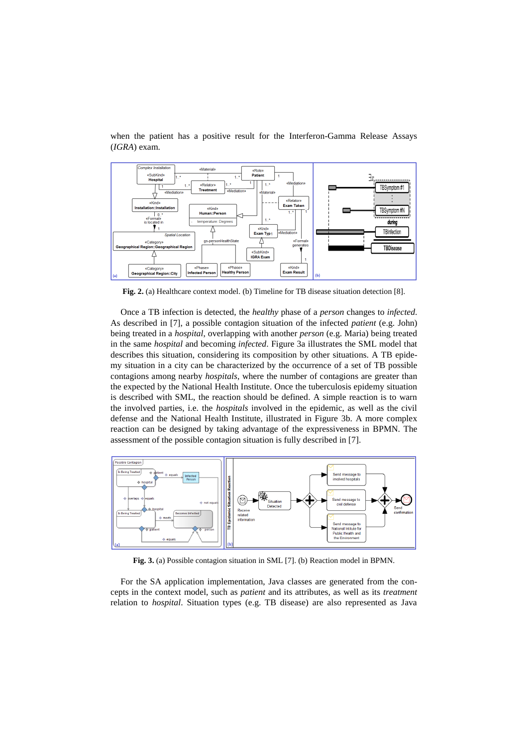

when the patient has a positive result for the Interferon-Gamma Release Assays (*IGRA*) exam.

Fig. 2. (a) Healthcare context model. (b) Timeline for TB disease situation detection [8].

Once a TB infection is detected, the *healthy* phase of a *person* changes to *infected*. As described in [7], a possible contagion situation of the infected *patient* (e.g. John) being treated in a *hospital*, overlapping with another *person* (e.g. Maria) being treated in the same *hospital* and becoming *infected*. Figure 3a illustrates the SML model that describes this situation, considering its composition by other situations. A TB epidemy situation in a city can be characterized by the occurrence of a set of TB possible contagions among nearby *hospitals*, where the number of contagions are greater than the expected by the National Health Institute. Once the tuberculosis epidemy situation is described with SML, the reaction should be defined. A simple reaction is to warn the involved parties, i.e. the *hospitals* involved in the epidemic, as well as the civil defense and the National Health Institute, illustrated in Figure 3b. A more complex reaction can be designed by taking advantage of the expressiveness in BPMN. The assessment of the possible contagion situation is fully described in [7].



**Fig. 3.** (a) Possible contagion situation in SML [7]. (b) Reaction model in BPMN.

For the SA application implementation, Java classes are generated from the concepts in the context model, such as *patient* and its attributes, as well as its *treatment* relation to *hospital*. Situation types (e.g. TB disease) are also represented as Java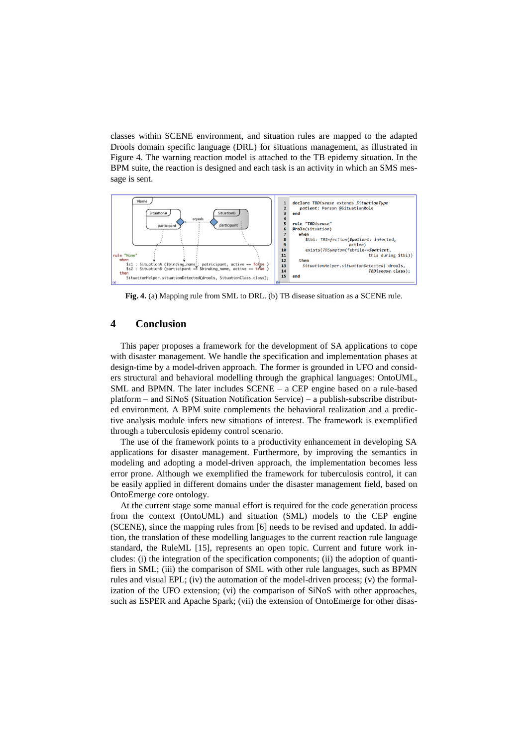classes within SCENE environment, and situation rules are mapped to the adapted Drools domain specific language (DRL) for situations management, as illustrated in Figure 4. The warning reaction model is attached to the TB epidemy situation. In the BPM suite, the reaction is designed and each task is an activity in which an SMS message is sent.



**Fig. 4.** (a) Mapping rule from SML to DRL. (b) TB disease situation as a SCENE rule.

## **4 Conclusion**

This paper proposes a framework for the development of SA applications to cope with disaster management. We handle the specification and implementation phases at design-time by a model-driven approach. The former is grounded in UFO and considers structural and behavioral modelling through the graphical languages: OntoUML, SML and BPMN. The later includes SCENE – a CEP engine based on a rule-based platform – and SiNoS (Situation Notification Service) – a publish-subscribe distributed environment. A BPM suite complements the behavioral realization and a predictive analysis module infers new situations of interest. The framework is exemplified through a tuberculosis epidemy control scenario.

The use of the framework points to a productivity enhancement in developing SA applications for disaster management. Furthermore, by improving the semantics in modeling and adopting a model-driven approach, the implementation becomes less error prone. Although we exemplified the framework for tuberculosis control, it can be easily applied in different domains under the disaster management field, based on OntoEmerge core ontology.

At the current stage some manual effort is required for the code generation process from the context (OntoUML) and situation (SML) models to the CEP engine (SCENE), since the mapping rules from [6] needs to be revised and updated. In addition, the translation of these modelling languages to the current reaction rule language standard, the RuleML [15], represents an open topic. Current and future work includes: (i) the integration of the specification components; (ii) the adoption of quantifiers in SML; (iii) the comparison of SML with other rule languages, such as BPMN rules and visual EPL; (iv) the automation of the model-driven process; (v) the formalization of the UFO extension; (vi) the comparison of SiNoS with other approaches, such as ESPER and Apache Spark; (vii) the extension of OntoEmerge for other disas